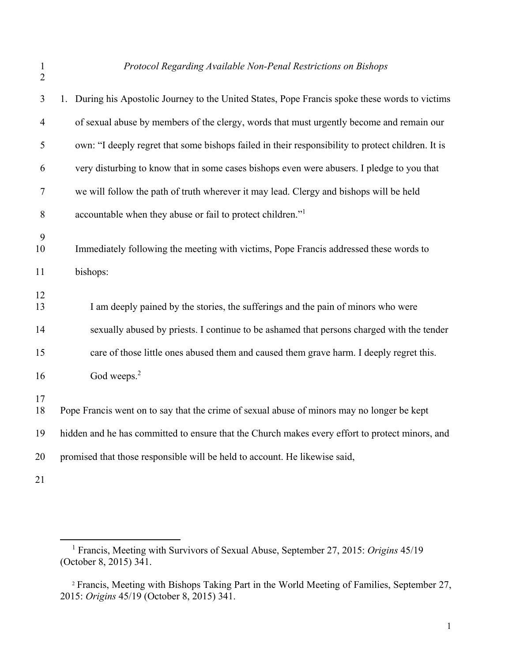2

## 1 *Protocol Regarding Available Non-Penal Restrictions on Bishops*

| 3              | 1. During his Apostolic Journey to the United States, Pope Francis spoke these words to victims   |  |
|----------------|---------------------------------------------------------------------------------------------------|--|
| $\overline{4}$ | of sexual abuse by members of the clergy, words that must urgently become and remain our          |  |
| 5              | own: "I deeply regret that some bishops failed in their responsibility to protect children. It is |  |
| 6              | very disturbing to know that in some cases bishops even were abusers. I pledge to you that        |  |
| 7              | we will follow the path of truth wherever it may lead. Clergy and bishops will be held            |  |
| $8\,$          | accountable when they abuse or fail to protect children." <sup>1</sup>                            |  |
| 9<br>10        | Immediately following the meeting with victims, Pope Francis addressed these words to             |  |
| 11             | bishops:                                                                                          |  |
| 12<br>13       | I am deeply pained by the stories, the sufferings and the pain of minors who were                 |  |
| 14             | sexually abused by priests. I continue to be ashamed that persons charged with the tender         |  |
| 15             | care of those little ones abused them and caused them grave harm. I deeply regret this.           |  |
| 16             | God weeps. <sup>2</sup>                                                                           |  |
| 17<br>18       | Pope Francis went on to say that the crime of sexual abuse of minors may no longer be kept        |  |
| 19             | hidden and he has committed to ensure that the Church makes every effort to protect minors, and   |  |
| 20             | promised that those responsible will be held to account. He likewise said,                        |  |
| 21             |                                                                                                   |  |

<sup>1</sup> Francis, Meeting with Survivors of Sexual Abuse, September 27, 2015: *Origins* 45/19 (October 8, 2015) 341.

<sup>2</sup> Francis, Meeting with Bishops Taking Part in the World Meeting of Families, September 27, 2015: *Origins* 45/19 (October 8, 2015) 341.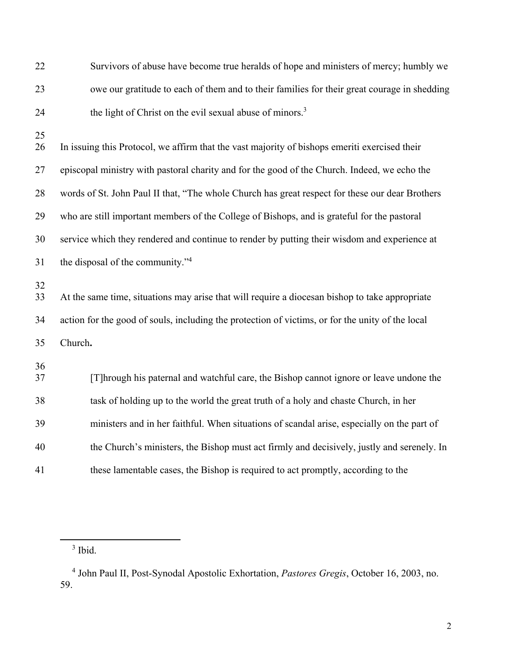| 22       | Survivors of abuse have become true heralds of hope and ministers of mercy; humbly we            |  |  |
|----------|--------------------------------------------------------------------------------------------------|--|--|
| 23       | owe our gratitude to each of them and to their families for their great courage in shedding      |  |  |
| 24       | the light of Christ on the evil sexual abuse of minors. <sup>3</sup>                             |  |  |
| 25<br>26 | In issuing this Protocol, we affirm that the vast majority of bishops emeriti exercised their    |  |  |
| 27       | episcopal ministry with pastoral charity and for the good of the Church. Indeed, we echo the     |  |  |
| 28       | words of St. John Paul II that, "The whole Church has great respect for these our dear Brothers  |  |  |
| 29       | who are still important members of the College of Bishops, and is grateful for the pastoral      |  |  |
| 30       | service which they rendered and continue to render by putting their wisdom and experience at     |  |  |
| 31       | the disposal of the community." <sup>4</sup>                                                     |  |  |
| 32<br>33 | At the same time, situations may arise that will require a diocesan bishop to take appropriate   |  |  |
| 34       | action for the good of souls, including the protection of victims, or for the unity of the local |  |  |
| 35       | Church.                                                                                          |  |  |
| 36<br>37 | [T] hrough his paternal and watchful care, the Bishop cannot ignore or leave undone the          |  |  |
| 38       | task of holding up to the world the great truth of a holy and chaste Church, in her              |  |  |
| 39       | ministers and in her faithful. When situations of scandal arise, especially on the part of       |  |  |
| 40       | the Church's ministers, the Bishop must act firmly and decisively, justly and serenely. In       |  |  |
| 41       | these lamentable cases, the Bishop is required to act promptly, according to the                 |  |  |

 $3$  Ibid.

<sup>4</sup> John Paul II, Post-Synodal Apostolic Exhortation, *Pastores Gregis*, October 16, 2003, no. 59.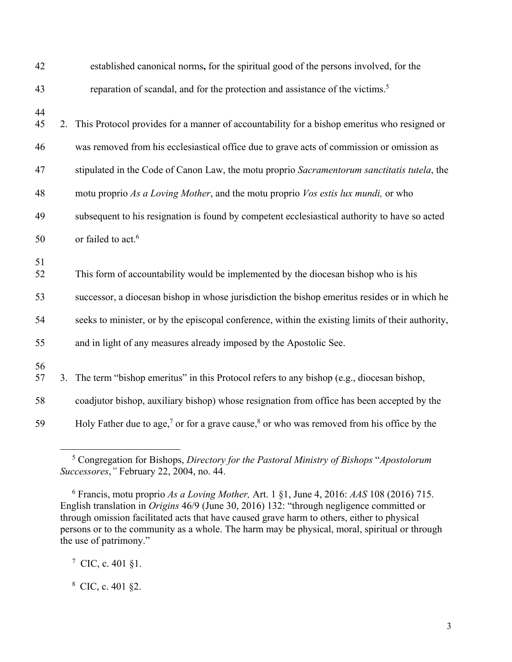| 42       |    | established canonical norms, for the spiritual good of the persons involved, for the                              |  |
|----------|----|-------------------------------------------------------------------------------------------------------------------|--|
| 43       |    | reparation of scandal, and for the protection and assistance of the victims. <sup>5</sup>                         |  |
| 44<br>45 |    | 2. This Protocol provides for a manner of accountability for a bishop emeritus who resigned or                    |  |
| 46       |    | was removed from his ecclesiastical office due to grave acts of commission or omission as                         |  |
| 47       |    | stipulated in the Code of Canon Law, the motu proprio Sacramentorum sanctitatis tutela, the                       |  |
| 48       |    | motu proprio As a Loving Mother, and the motu proprio Vos estis lux mundi, or who                                 |  |
| 49       |    | subsequent to his resignation is found by competent ecclesiastical authority to have so acted                     |  |
| 50       |    | or failed to act. <sup>6</sup>                                                                                    |  |
| 51<br>52 |    | This form of accountability would be implemented by the diocesan bishop who is his                                |  |
| 53       |    | successor, a diocesan bishop in whose jurisdiction the bishop emeritus resides or in which he                     |  |
| 54       |    | seeks to minister, or by the episcopal conference, within the existing limits of their authority,                 |  |
| 55       |    | and in light of any measures already imposed by the Apostolic See.                                                |  |
| 56<br>57 | 3. | The term "bishop emeritus" in this Protocol refers to any bishop (e.g., diocesan bishop,                          |  |
| 58       |    | coadjutor bishop, auxiliary bishop) whose resignation from office has been accepted by the                        |  |
| 59       |    | Holy Father due to age, <sup>7</sup> or for a grave cause, <sup>8</sup> or who was removed from his office by the |  |

<sup>5</sup> Congregation for Bishops, *Directory for the Pastoral Ministry of Bishops* "*Apostolorum Successores*,*"* February 22, 2004, no. 44.

 $^7$  CIC, c. 401 §1.

<sup>6</sup> Francis, motu proprio *As a Loving Mother,* Art. 1 §1, June 4, 2016: *AAS* 108 (2016) 715. English translation in *Origins* 46/9 (June 30, 2016) 132: "through negligence committed or through omission facilitated acts that have caused grave harm to others, either to physical persons or to the community as a whole. The harm may be physical, moral, spiritual or through the use of patrimony."

 $8$  CIC, c. 401 §2.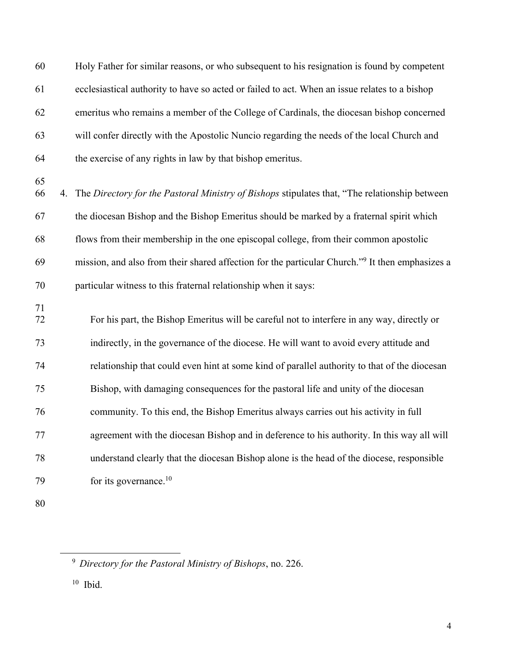60 Holy Father for similar reasons, or who subsequent to his resignation is found by competent 61 ecclesiastical authority to have so acted or failed to act. When an issue relates to a bishop 62 emeritus who remains a member of the College of Cardinals, the diocesan bishop concerned 63 will confer directly with the Apostolic Nuncio regarding the needs of the local Church and 64 the exercise of any rights in law by that bishop emeritus. 65 66 4. The *Directory for the Pastoral Ministry of Bishops* stipulates that, "The relationship between 67 the diocesan Bishop and the Bishop Emeritus should be marked by a fraternal spirit which 68 flows from their membership in the one episcopal college, from their common apostolic mission, and also from their shared affection for the particular Church."<sup>9</sup> It then emphasizes a 70 particular witness to this fraternal relationship when it says: 71 72 For his part, the Bishop Emeritus will be careful not to interfere in any way, directly or 73 indirectly, in the governance of the diocese. He will want to avoid every attitude and 74 relationship that could even hint at some kind of parallel authority to that of the diocesan 75 Bishop, with damaging consequences for the pastoral life and unity of the diocesan 76 community. To this end, the Bishop Emeritus always carries out his activity in full 77 agreement with the diocesan Bishop and in deference to his authority. In this way all will 78 understand clearly that the diocesan Bishop alone is the head of the diocese, responsible 79 for its governance.<sup>10</sup>

80

9 *Directory for the Pastoral Ministry of Bishops*, no. 226.

 $10$  Ibid.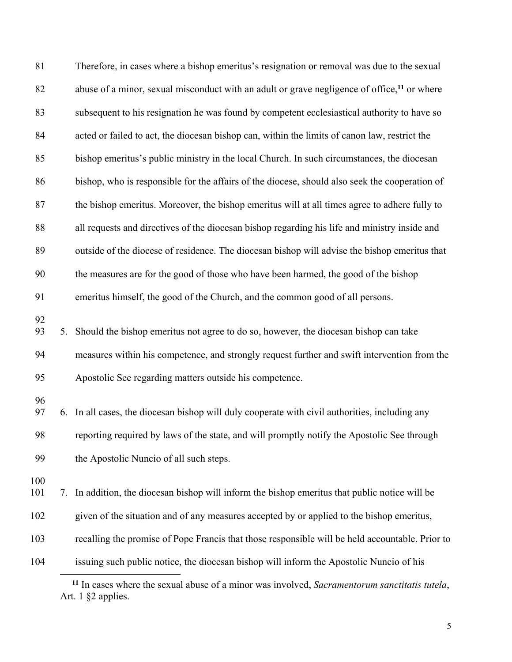| 81         | Therefore, in cases where a bishop emeritus's resignation or removal was due to the sexual              |  |
|------------|---------------------------------------------------------------------------------------------------------|--|
| 82         | abuse of a minor, sexual misconduct with an adult or grave negligence of office, <sup>11</sup> or where |  |
| 83         | subsequent to his resignation he was found by competent ecclesiastical authority to have so             |  |
| 84         | acted or failed to act, the diocesan bishop can, within the limits of canon law, restrict the           |  |
| 85         | bishop emeritus's public ministry in the local Church. In such circumstances, the diocesan              |  |
| 86         | bishop, who is responsible for the affairs of the diocese, should also seek the cooperation of          |  |
| 87         | the bishop emeritus. Moreover, the bishop emeritus will at all times agree to adhere fully to           |  |
| 88         | all requests and directives of the diocesan bishop regarding his life and ministry inside and           |  |
| 89         | outside of the diocese of residence. The diocesan bishop will advise the bishop emeritus that           |  |
| 90         | the measures are for the good of those who have been harmed, the good of the bishop                     |  |
| 91         | emeritus himself, the good of the Church, and the common good of all persons.                           |  |
| 92<br>93   | 5. Should the bishop emeritus not agree to do so, however, the diocesan bishop can take                 |  |
| 94         | measures within his competence, and strongly request further and swift intervention from the            |  |
| 95         | Apostolic See regarding matters outside his competence.                                                 |  |
| 96<br>97   | 6. In all cases, the diocesan bishop will duly cooperate with civil authorities, including any          |  |
| 98         | reporting required by laws of the state, and will promptly notify the Apostolic See through             |  |
| 99         | the Apostolic Nuncio of all such steps.                                                                 |  |
| 100<br>101 | 7. In addition, the diocesan bishop will inform the bishop emeritus that public notice will be          |  |
| 102        | given of the situation and of any measures accepted by or applied to the bishop emeritus,               |  |
| 103        | recalling the promise of Pope Francis that those responsible will be held accountable. Prior to         |  |
| 104        | issuing such public notice, the diocesan bishop will inform the Apostolic Nuncio of his                 |  |
|            |                                                                                                         |  |

**<sup>11</sup>** In cases where the sexual abuse of a minor was involved, *Sacramentorum sanctitatis tutela*, Art. 1 §2 applies.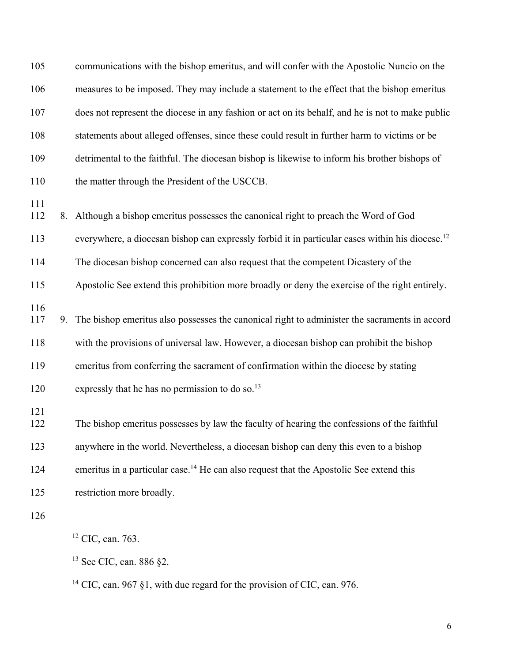| 105        | communications with the bishop emeritus, and will confer with the Apostolic Nuncio on the                   |  |
|------------|-------------------------------------------------------------------------------------------------------------|--|
| 106        | measures to be imposed. They may include a statement to the effect that the bishop emeritus                 |  |
| 107        | does not represent the diocese in any fashion or act on its behalf, and he is not to make public            |  |
| 108        | statements about alleged offenses, since these could result in further harm to victims or be                |  |
| 109        | detrimental to the faithful. The diocesan bishop is likewise to inform his brother bishops of               |  |
| 110        | the matter through the President of the USCCB.                                                              |  |
| 111<br>112 | 8. Although a bishop emeritus possesses the canonical right to preach the Word of God                       |  |
| 113        | everywhere, a diocesan bishop can expressly forbid it in particular cases within his diocese. <sup>12</sup> |  |
| 114        | The diocesan bishop concerned can also request that the competent Dicastery of the                          |  |
| 115        | Apostolic See extend this prohibition more broadly or deny the exercise of the right entirely.              |  |
| 116<br>117 | 9. The bishop emeritus also possesses the canonical right to administer the sacraments in accord            |  |
| 118        | with the provisions of universal law. However, a diocesan bishop can prohibit the bishop                    |  |
| 119        | emeritus from conferring the sacrament of confirmation within the diocese by stating                        |  |
| 120        | expressly that he has no permission to do so. <sup>13</sup>                                                 |  |
| 121<br>122 | The bishop emeritus possesses by law the faculty of hearing the confessions of the faithful                 |  |
| 123        | anywhere in the world. Nevertheless, a diocesan bishop can deny this even to a bishop                       |  |
| 124        | emeritus in a particular case. <sup>14</sup> He can also request that the Apostolic See extend this         |  |
| 125        | restriction more broadly.                                                                                   |  |
|            |                                                                                                             |  |

126

<sup>&</sup>lt;sup>12</sup> CIC, can. 763.

<sup>13</sup> See CIC, can. 886 §2.

<sup>&</sup>lt;sup>14</sup> CIC, can. 967 §1, with due regard for the provision of CIC, can. 976.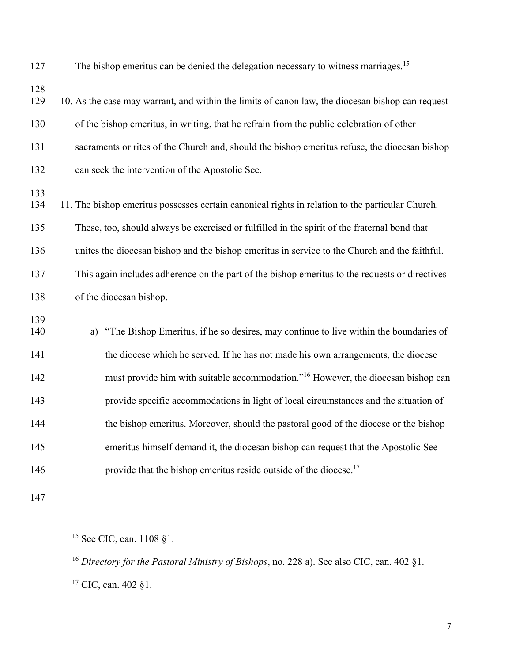The bishop emeritus can be denied the delegation necessary to witness marriages.<sup>15</sup>

128

129 10. As the case may warrant, and within the limits of canon law, the diocesan bishop can request 130 of the bishop emeritus, in writing, that he refrain from the public celebration of other 131 sacraments or rites of the Church and, should the bishop emeritus refuse, the diocesan bishop 132 can seek the intervention of the Apostolic See.

133

134 11. The bishop emeritus possesses certain canonical rights in relation to the particular Church. 135 These, too, should always be exercised or fulfilled in the spirit of the fraternal bond that 136 unites the diocesan bishop and the bishop emeritus in service to the Church and the faithful.

137 This again includes adherence on the part of the bishop emeritus to the requests or directives 138 of the diocesan bishop.

139

140 a) "The Bishop Emeritus, if he so desires, may continue to live within the boundaries of 141 the diocese which he served. If he has not made his own arrangements, the diocese nust provide him with suitable accommodation."<sup>16</sup> However, the diocesan bishop can 143 provide specific accommodations in light of local circumstances and the situation of 144 the bishop emeritus. Moreover, should the pastoral good of the diocese or the bishop 145 emeritus himself demand it, the diocesan bishop can request that the Apostolic See 146 **provide that the bishop emeritus reside outside of the diocese.**<sup>17</sup>

 15 See CIC, can. 1108 §1.

<sup>16</sup> *Directory for the Pastoral Ministry of Bishops*, no. 228 a). See also CIC, can. 402 §1. 17 CIC, can. 402 §1.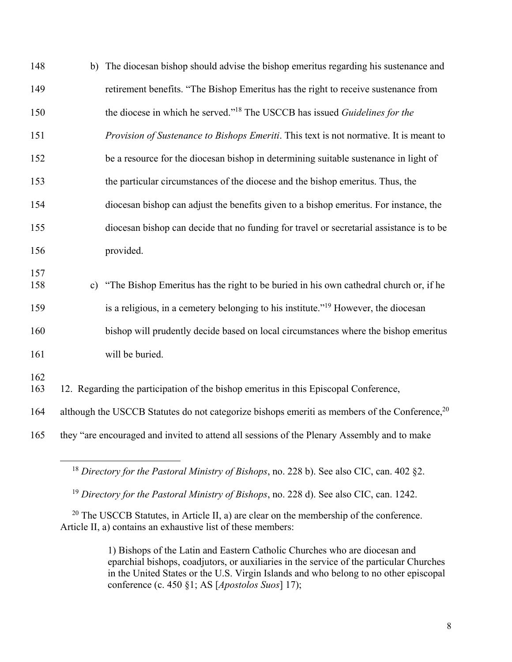| 148        |               | b) The diocesan bishop should advise the bishop emeritus regarding his sustenance and                     |
|------------|---------------|-----------------------------------------------------------------------------------------------------------|
| 149        |               | retirement benefits. "The Bishop Emeritus has the right to receive sustenance from                        |
| 150        |               | the diocese in which he served." <sup>18</sup> The USCCB has issued Guidelines for the                    |
| 151        |               | Provision of Sustenance to Bishops Emeriti. This text is not normative. It is meant to                    |
| 152        |               | be a resource for the diocesan bishop in determining suitable sustenance in light of                      |
| 153        |               | the particular circumstances of the diocese and the bishop emeritus. Thus, the                            |
| 154        |               | diocesan bishop can adjust the benefits given to a bishop emeritus. For instance, the                     |
| 155        |               | diocesan bishop can decide that no funding for travel or secretarial assistance is to be                  |
| 156        |               | provided.                                                                                                 |
| 157        |               |                                                                                                           |
| 158        | $\mathbf{c})$ | "The Bishop Emeritus has the right to be buried in his own cathedral church or, if he                     |
| 159        |               | is a religious, in a cemetery belonging to his institute." <sup>19</sup> However, the diocesan            |
| 160        |               | bishop will prudently decide based on local circumstances where the bishop emeritus                       |
| 161        |               | will be buried.                                                                                           |
| 162<br>163 |               | 12. Regarding the participation of the bishop emeritus in this Episcopal Conference,                      |
| 164        |               | although the USCCB Statutes do not categorize bishops emeriti as members of the Conference, <sup>20</sup> |
|            |               |                                                                                                           |

- 165 they "are encouraged and invited to attend all sessions of the Plenary Assembly and to make
	- <sup>18</sup> *Directory for the Pastoral Ministry of Bishops*, no. 228 b). See also CIC, can. 402 §2.

<sup>19</sup> *Directory for the Pastoral Ministry of Bishops*, no. 228 d). See also CIC, can. 1242.

<sup>20</sup> The USCCB Statutes, in Article II, a) are clear on the membership of the conference. Article II, a) contains an exhaustive list of these members:

> 1) Bishops of the Latin and Eastern Catholic Churches who are diocesan and eparchial bishops, coadjutors, or auxiliaries in the service of the particular Churches in the United States or the U.S. Virgin Islands and who belong to no other episcopal conference (c. 450 §1; AS [*Apostolos Suos*] 17);